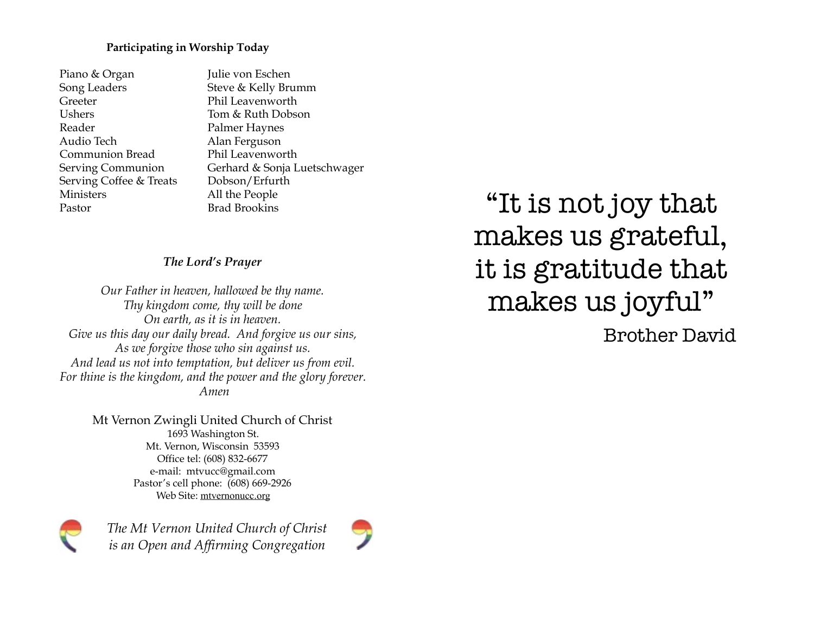#### **Participating in Worship Today**

- **Piano & Organ** Julie von Eschen Song Leaders Steve & Kelly Brumm Greeter Phil Leavenworth Ushers Tom & Ruth Dobson Reader Palmer Haynes Audio Tech Alan Ferguson Communion Bread Phil Leavenworth Serving Coffee & Treats Dobson/Erfurth Ministers All the People Pastor Brad Brookins
- Serving Communion Gerhard & Sonja Luetschwager

#### *The Lord's Prayer*

*Our Father in heaven, hallowed be thy name. Thy kingdom come, thy will be done On earth, as it is in heaven. Give us this day our daily bread. And forgive us our sins, As we forgive those who sin against us. And lead us not into temptation, but deliver us from evil. For thine is the kingdom, and the power and the glory forever. Amen* 

> Mt Vernon Zwingli United Church of Christ 1693 Washington St. Mt. Vernon, Wisconsin 53593 Office tel: (608) 832-6677 e-mail: mtvucc@gmail.com Pastor's cell phone: (608) 669-2926 Web Site: [mtvernonucc.org](http://mtvernonucc.org)



*The Mt Vernon United Church of Christ is an Open and Affirming Congregation*



"It is not joy that makes us grateful, it is gratitude that makes us joyful" Brother David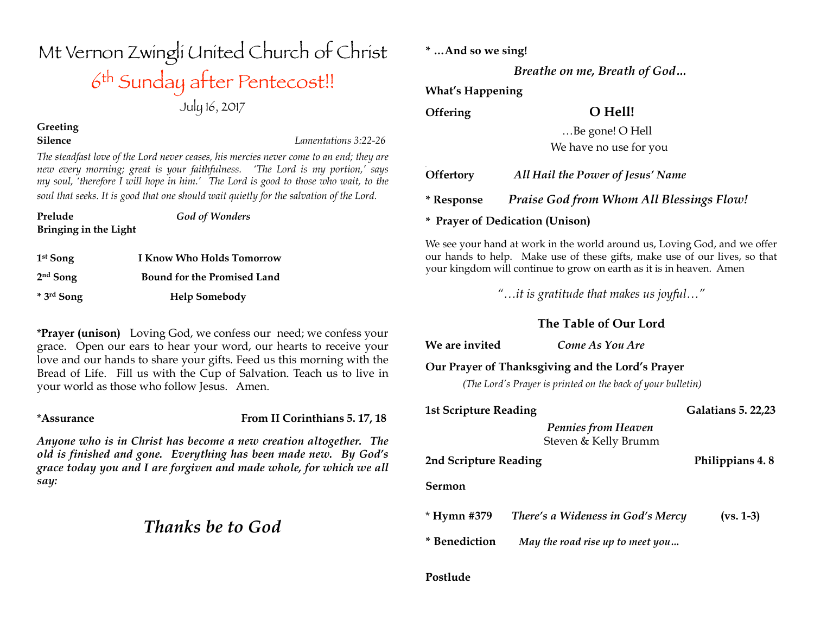| $5 - 7$                                                                                 |                      |
|-----------------------------------------------------------------------------------------|----------------------|
| <b>Greeting</b>                                                                         |                      |
| <b>Silence</b>                                                                          | Lamentations 3:22-26 |
| The steadfast love of the Lord never ceases, his mercies never come to an end; they are |                      |

*new every morning; great is your faithfulness. 'The Lord is my portion,' says my soul, 'therefore I will hope in him.' The Lord is good to those who wait, to the soul that seeks. It is good that one should wait quietly for the salvation of the Lord.*

Mt Vernon Zwingli United Church of Christ

6th Sunday after Pentecost!!

July 16, 2017

**Bringing in the Light**

**Prelude** *God of Wonders* 

| $1st$ Song               | <b>I Know Who Holds Tomorrow</b>   |
|--------------------------|------------------------------------|
| $2nd$ Song               | <b>Bound for the Promised Land</b> |
| $*$ 3 <sup>rd</sup> Song | <b>Help Somebody</b>               |

\***Prayer (unison)** Loving God, we confess our need; we confess your grace. Open our ears to hear your word, our hearts to receive your love and our hands to share your gifts. Feed us this morning with the Bread of Life. Fill us with the Cup of Salvation. Teach us to live in your world as those who follow Jesus. Amen.

\***Assurance From II Corinthians 5. 17, 18**

*Anyone who is in Christ has become a new creation altogether. The old is finished and gone. Everything has been made new. By God's grace today you and I are forgiven and made whole, for which we all say:*

## *Thanks be to God*

**\* …And so we sing!** 

*Breathe on me, Breath of God…*

**What's Happening**

**Offering O Hell!** 

 …Be gone! O Hell We have no use for you

| <b>Offertory</b> | All Hail the Power of Jesus' Name        |
|------------------|------------------------------------------|
| * Response       | Praise God from Whom All Blessings Flow! |

**\* Prayer of Dedication (Unison)**

We see your hand at work in the world around us, Loving God, and we offer our hands to help. Make use of these gifts, make use of our lives, so that your kingdom will continue to grow on earth as it is in heaven. Amen

*"…it is gratitude that makes us joyful…"* 

### **The Table of Our Lord**

**We are invited** *Come As You Are*

#### **Our Prayer of Thanksgiving and the Lord's Prayer**

*(The Lord's Prayer is printed on the back of your bulletin)*

| <b>1st Scripture Reading</b> | <b>Galatians 5. 22,23</b> |
|------------------------------|---------------------------|
|                              |                           |

*Pennies from Heaven*Steven & Kelly Brumm

**2nd Scripture Reading Philippians 4. 8** 

**Sermon** 

| * Hymn #379   | There's a Wideness in God's Mercy | $(vs. 1-3)$ |
|---------------|-----------------------------------|-------------|
| * Benediction | May the road rise up to meet you  |             |

#### **Postlude**